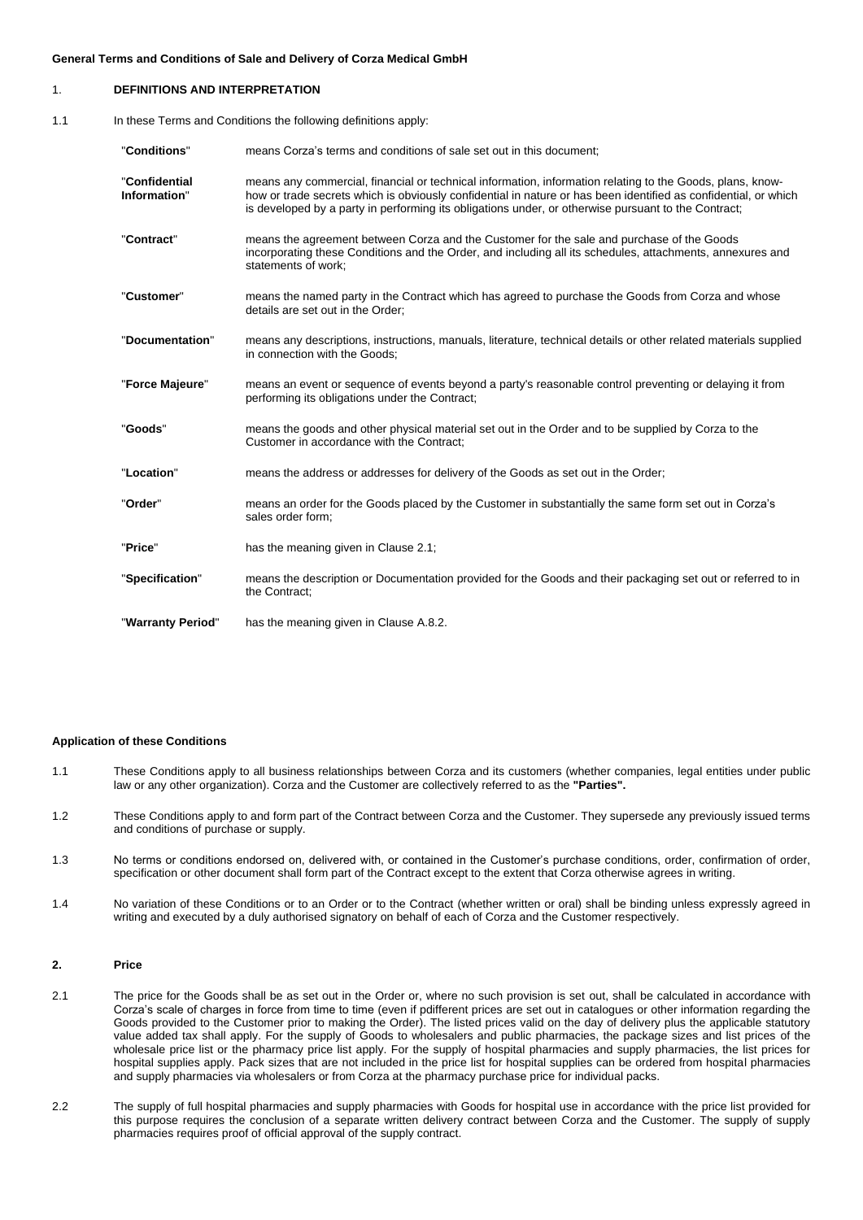| $\mathbf{1}$ . | <b>DEFINITIONS AND INTERPRETATION</b>                          |                                                                                                                                                                                                                                                                                                                                     |
|----------------|----------------------------------------------------------------|-------------------------------------------------------------------------------------------------------------------------------------------------------------------------------------------------------------------------------------------------------------------------------------------------------------------------------------|
| 1.1            | In these Terms and Conditions the following definitions apply: |                                                                                                                                                                                                                                                                                                                                     |
|                | "Conditions"                                                   | means Corza's terms and conditions of sale set out in this document;                                                                                                                                                                                                                                                                |
|                | "Confidential<br>Information"                                  | means any commercial, financial or technical information, information relating to the Goods, plans, know-<br>how or trade secrets which is obviously confidential in nature or has been identified as confidential, or which<br>is developed by a party in performing its obligations under, or otherwise pursuant to the Contract; |
|                | "Contract"                                                     | means the agreement between Corza and the Customer for the sale and purchase of the Goods<br>incorporating these Conditions and the Order, and including all its schedules, attachments, annexures and<br>statements of work;                                                                                                       |
|                | "Customer"                                                     | means the named party in the Contract which has agreed to purchase the Goods from Corza and whose<br>details are set out in the Order;                                                                                                                                                                                              |
|                | "Documentation"                                                | means any descriptions, instructions, manuals, literature, technical details or other related materials supplied<br>in connection with the Goods;                                                                                                                                                                                   |
|                | "Force Majeure"                                                | means an event or sequence of events beyond a party's reasonable control preventing or delaying it from<br>performing its obligations under the Contract;                                                                                                                                                                           |
|                | "Goods"                                                        | means the goods and other physical material set out in the Order and to be supplied by Corza to the<br>Customer in accordance with the Contract:                                                                                                                                                                                    |
|                | "Location"                                                     | means the address or addresses for delivery of the Goods as set out in the Order;                                                                                                                                                                                                                                                   |
|                | "Order"                                                        | means an order for the Goods placed by the Customer in substantially the same form set out in Corza's<br>sales order form;                                                                                                                                                                                                          |
|                | "Price"                                                        | has the meaning given in Clause 2.1;                                                                                                                                                                                                                                                                                                |
|                | "Specification"                                                | means the description or Documentation provided for the Goods and their packaging set out or referred to in<br>the Contract:                                                                                                                                                                                                        |

"**Warranty Period**" has the meaning given in Clause [A.8.2.](#page-2-0)

# **Application of these Conditions**

- 1.1 These Conditions apply to all business relationships between Corza and its customers (whether companies, legal entities under public law or any other organization). Corza and the Customer are collectively referred to as the **"Parties".**
- 1.2 These Conditions apply to and form part of the Contract between Corza and the Customer. They supersede any previously issued terms and conditions of purchase or supply.
- 1.3 No terms or conditions endorsed on, delivered with, or contained in the Customer's purchase conditions, order, confirmation of order, specification or other document shall form part of the Contract except to the extent that Corza otherwise agrees in writing.
- 1.4 No variation of these Conditions or to an Order or to the Contract (whether written or oral) shall be binding unless expressly agreed in writing and executed by a duly authorised signatory on behalf of each of Corza and the Customer respectively.

# **2. Price**

- <span id="page-0-0"></span>2.1 The price for the Goods shall be as set out in the Order or, where no such provision is set out, shall be calculated in accordance with Corza's scale of charges in force from time to time (even if pdifferent prices are set out in catalogues or other information regarding the Goods provided to the Customer prior to making the Order). The listed prices valid on the day of delivery plus the applicable statutory value added tax shall apply. For the supply of Goods to wholesalers and public pharmacies, the package sizes and list prices of the wholesale price list or the pharmacy price list apply. For the supply of hospital pharmacies and supply pharmacies, the list prices for hospital supplies apply. Pack sizes that are not included in the price list for hospital supplies can be ordered from hospital pharmacies and supply pharmacies via wholesalers or from Corza at the pharmacy purchase price for individual packs.
- 2.2 The supply of full hospital pharmacies and supply pharmacies with Goods for hospital use in accordance with the price list provided for this purpose requires the conclusion of a separate written delivery contract between Corza and the Customer. The supply of supply pharmacies requires proof of official approval of the supply contract.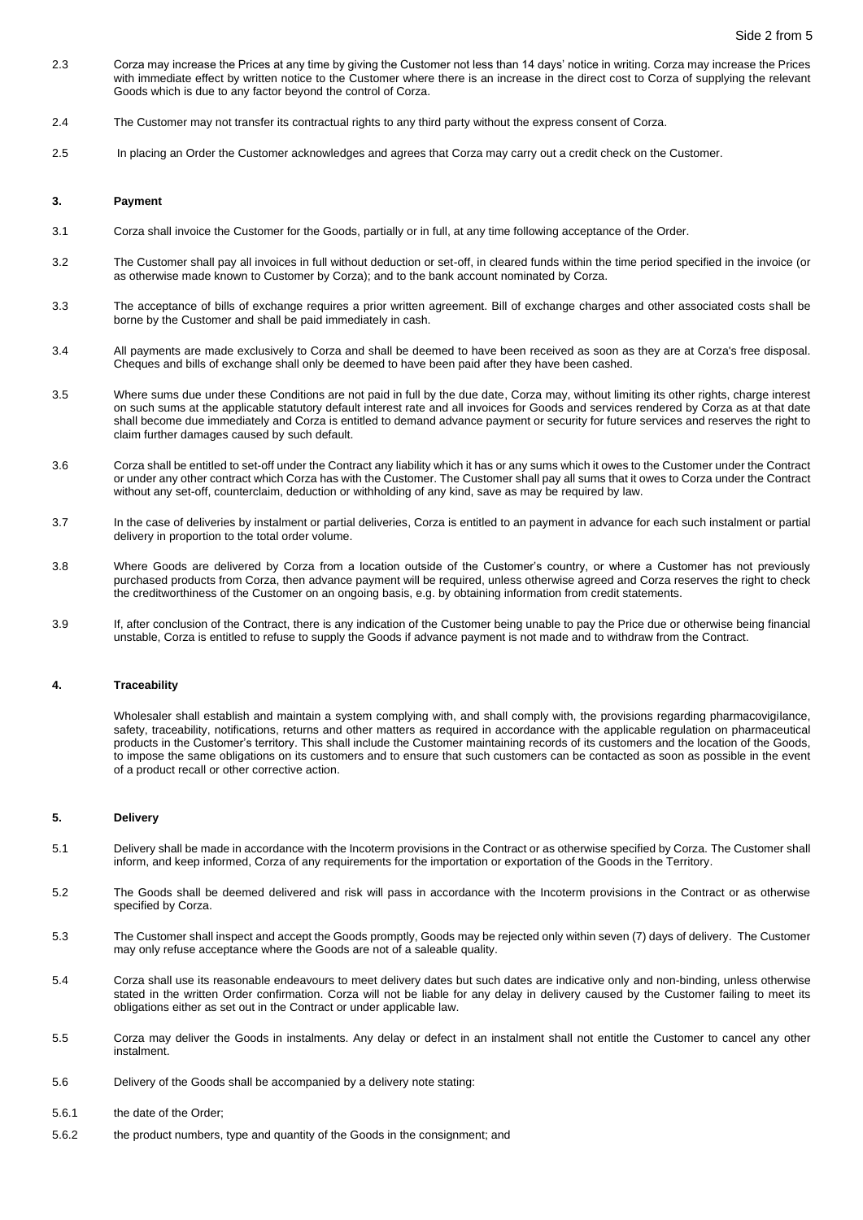- 2.3 Corza may increase the Prices at any time by giving the Customer not less than 14 days' notice in writing. Corza may increase the Prices with immediate effect by written notice to the Customer where there is an increase in the direct cost to Corza of supplying the relevant Goods which is due to any factor beyond the control of Corza.
- 2.4 The Customer may not transfer its contractual rights to any third party without the express consent of Corza.
- 2.5 In placing an Order the Customer acknowledges and agrees that Corza may carry out a credit check on the Customer.

## **3. Payment**

- 3.1 Corza shall invoice the Customer for the Goods, partially or in full, at any time following acceptance of the Order.
- 3.2 The Customer shall pay all invoices in full without deduction or set-off, in cleared funds within the time period specified in the invoice (or as otherwise made known to Customer by Corza); and to the bank account nominated by Corza.
- 3.3 The acceptance of bills of exchange requires a prior written agreement. Bill of exchange charges and other associated costs shall be borne by the Customer and shall be paid immediately in cash.
- 3.4 All payments are made exclusively to Corza and shall be deemed to have been received as soon as they are at Corza's free disposal. Cheques and bills of exchange shall only be deemed to have been paid after they have been cashed.
- 3.5 Where sums due under these Conditions are not paid in full by the due date, Corza may, without limiting its other rights, charge interest on such sums at the applicable statutory default interest rate and all invoices for Goods and services rendered by Corza as at that date shall become due immediately and Corza is entitled to demand advance payment or security for future services and reserves the right to claim further damages caused by such default.
- 3.6 Corza shall be entitled to set-off under the Contract any liability which it has or any sums which it owes to the Customer under the Contract or under any other contract which Corza has with the Customer. The Customer shall pay all sums that it owes to Corza under the Contract without any set-off, counterclaim, deduction or withholding of any kind, save as may be required by law.
- 3.7 In the case of deliveries by instalment or partial deliveries, Corza is entitled to an payment in advance for each such instalment or partial delivery in proportion to the total order volume.
- 3.8 Where Goods are delivered by Corza from a location outside of the Customer's country, or where a Customer has not previously purchased products from Corza, then advance payment will be required, unless otherwise agreed and Corza reserves the right to check the creditworthiness of the Customer on an ongoing basis, e.g. by obtaining information from credit statements.
- 3.9 If, after conclusion of the Contract, there is any indication of the Customer being unable to pay the Price due or otherwise being financial unstable, Corza is entitled to refuse to supply the Goods if advance payment is not made and to withdraw from the Contract.

## **4. Traceability**

Wholesaler shall establish and maintain a system complying with, and shall comply with, the provisions regarding pharmacovigilance, safety, traceability, notifications, returns and other matters as required in accordance with the applicable regulation on pharmaceutical products in the Customer's territory. This shall include the Customer maintaining records of its customers and the location of the Goods, to impose the same obligations on its customers and to ensure that such customers can be contacted as soon as possible in the event of a product recall or other corrective action.

# **5. Delivery**

- 5.1 Delivery shall be made in accordance with the Incoterm provisions in the Contract or as otherwise specified by Corza. The Customer shall inform, and keep informed, Corza of any requirements for the importation or exportation of the Goods in the Territory.
- 5.2 The Goods shall be deemed delivered and risk will pass in accordance with the Incoterm provisions in the Contract or as otherwise specified by Corza.
- 5.3 The Customer shall inspect and accept the Goods promptly, Goods may be rejected only within seven (7) days of delivery. The Customer may only refuse acceptance where the Goods are not of a saleable quality.
- 5.4 Corza shall use its reasonable endeavours to meet delivery dates but such dates are indicative only and non-binding, unless otherwise stated in the written Order confirmation. Corza will not be liable for any delay in delivery caused by the Customer failing to meet its obligations either as set out in the Contract or under applicable law.
- 5.5 Corza may deliver the Goods in instalments. Any delay or defect in an instalment shall not entitle the Customer to cancel any other instalment.
- 5.6 Delivery of the Goods shall be accompanied by a delivery note stating:
- 5.6.1 the date of the Order;
- 5.6.2 the product numbers, type and quantity of the Goods in the consignment; and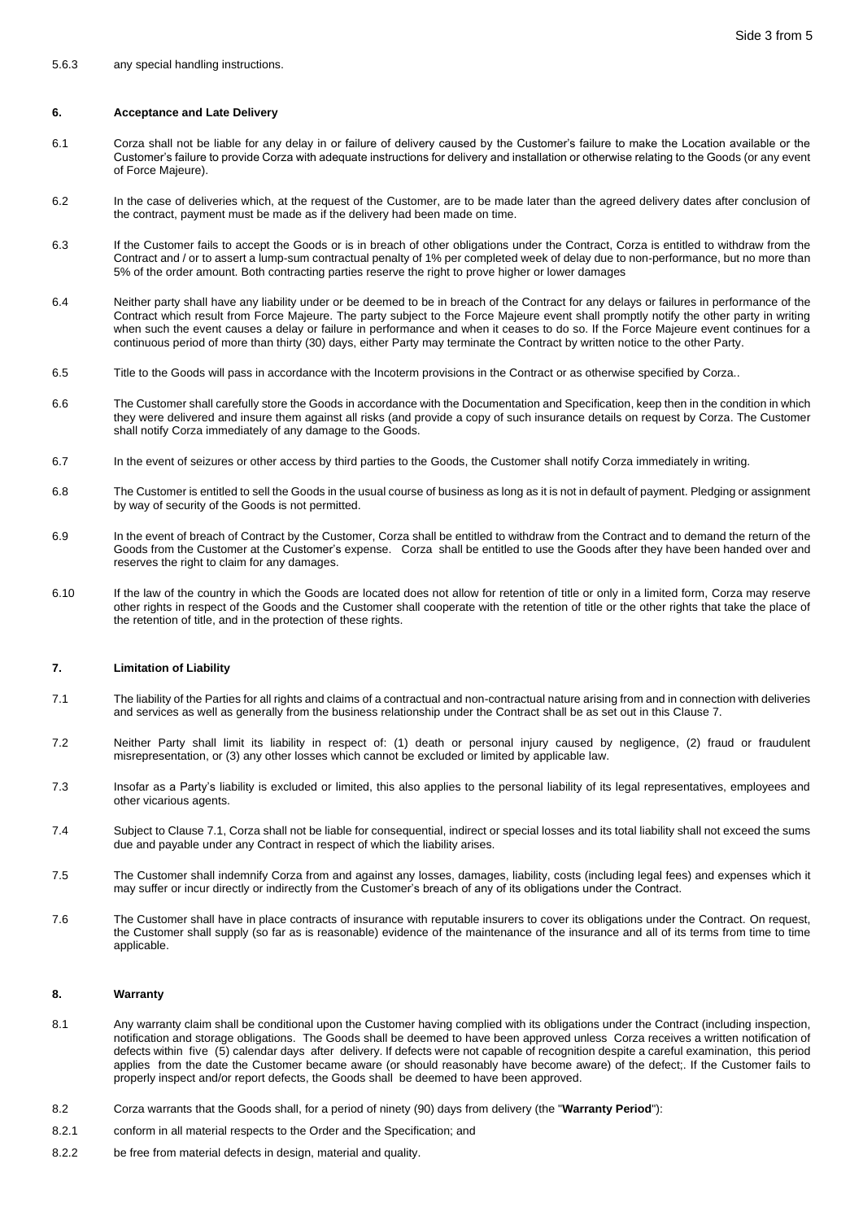# **6. Acceptance and Late Delivery**

- 6.1 Corza shall not be liable for any delay in or failure of delivery caused by the Customer's failure to make the Location available or the Customer's failure to provide Corza with adequate instructions for delivery and installation or otherwise relating to the Goods (or any event of Force Majeure).
- 6.2 In the case of deliveries which, at the request of the Customer, are to be made later than the agreed delivery dates after conclusion of the contract, payment must be made as if the delivery had been made on time.
- 6.3 If the Customer fails to accept the Goods or is in breach of other obligations under the Contract, Corza is entitled to withdraw from the Contract and / or to assert a lump-sum contractual penalty of 1% per completed week of delay due to non-performance, but no more than 5% of the order amount. Both contracting parties reserve the right to prove higher or lower damages
- 6.4 Neither party shall have any liability under or be deemed to be in breach of the Contract for any delays or failures in performance of the Contract which result from Force Majeure. The party subject to the Force Majeure event shall promptly notify the other party in writing when such the event causes a delay or failure in performance and when it ceases to do so. If the Force Majeure event continues for a continuous period of more than thirty (30) days, either Party may terminate the Contract by written notice to the other Party.
- 6.5 Title to the Goods will pass in accordance with the Incoterm provisions in the Contract or as otherwise specified by Corza..
- 6.6 The Customer shall carefully store the Goods in accordance with the Documentation and Specification, keep then in the condition in which they were delivered and insure them against all risks (and provide a copy of such insurance details on request by Corza. The Customer shall notify Corza immediately of any damage to the Goods.
- 6.7 In the event of seizures or other access by third parties to the Goods, the Customer shall notify Corza immediately in writing.
- 6.8 The Customer is entitled to sell the Goods in the usual course of business as long as it is not in default of payment. Pledging or assignment by way of security of the Goods is not permitted.
- 6.9 In the event of breach of Contract by the Customer, Corza shall be entitled to withdraw from the Contract and to demand the return of the Goods from the Customer at the Customer's expense. Corza shall be entitled to use the Goods after they have been handed over and reserves the right to claim for any damages.
- 6.10 If the law of the country in which the Goods are located does not allow for retention of title or only in a limited form, Corza may reserve other rights in respect of the Goods and the Customer shall cooperate with the retention of title or the other rights that take the place of the retention of title, and in the protection of these rights.

## <span id="page-2-1"></span>**7. Limitation of Liability**

- <span id="page-2-2"></span>7.1 The liability of the Parties for all rights and claims of a contractual and non-contractual nature arising from and in connection with deliveries and services as well as generally from the business relationship under the Contract shall be as set out in this Claus[e 7.](#page-2-1)
- 7.2 Neither Party shall limit its liability in respect of: (1) death or personal injury caused by negligence, (2) fraud or fraudulent misrepresentation, or (3) any other losses which cannot be excluded or limited by applicable law.
- 7.3 Insofar as a Party's liability is excluded or limited, this also applies to the personal liability of its legal representatives, employees and other vicarious agents.
- 7.4 Subject to Clause [7.1,](#page-2-2) Corza shall not be liable for consequential, indirect or special losses and its total liability shall not exceed the sums due and payable under any Contract in respect of which the liability arises.
- 7.5 The Customer shall indemnify Corza from and against any losses, damages, liability, costs (including legal fees) and expenses which it may suffer or incur directly or indirectly from the Customer's breach of any of its obligations under the Contract.
- 7.6 The Customer shall have in place contracts of insurance with reputable insurers to cover its obligations under the Contract. On request, the Customer shall supply (so far as is reasonable) evidence of the maintenance of the insurance and all of its terms from time to time applicable.

# **8. Warranty**

- <span id="page-2-3"></span>8.1 Any warranty claim shall be conditional upon the Customer having complied with its obligations under the Contract (including inspection, notification and storage obligations. The Goods shall be deemed to have been approved unless Corza receives a written notification of defects within five (5) calendar days after delivery. If defects were not capable of recognition despite a careful examination, this period applies from the date the Customer became aware (or should reasonably have become aware) of the defect;. If the Customer fails to properly inspect and/or report defects, the Goods shall be deemed to have been approved.
- <span id="page-2-0"></span>8.2 Corza warrants that the Goods shall, for a period of ninety (90) days from delivery (the "**Warranty Period**"):
- 8.2.1 conform in all material respects to the Order and the Specification; and
- 8.2.2 be free from material defects in design, material and quality.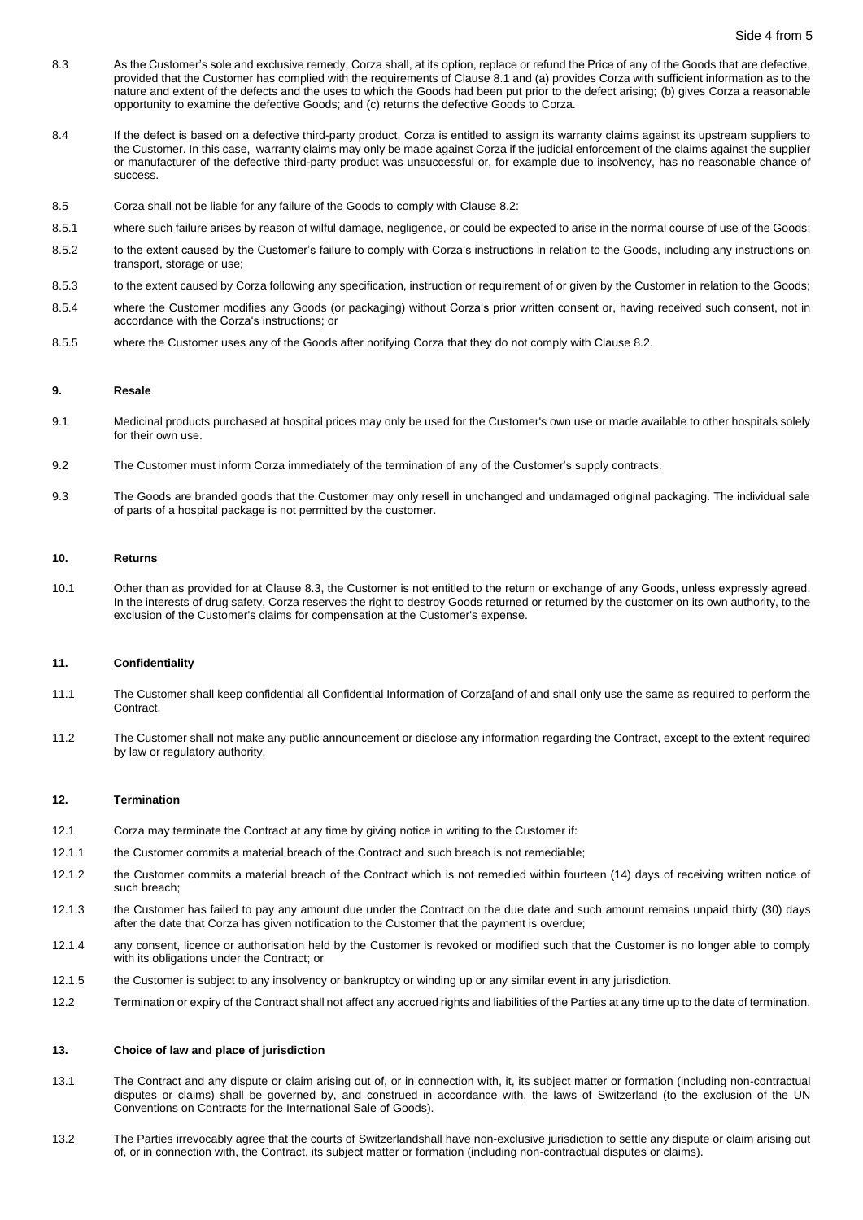- <span id="page-3-0"></span>8.3 As the Customer's sole and exclusive remedy, Corza shall, at its option, replace or refund the Price of any of the Goods that are defective, provided that the Customer has complied with the requirements of Claus[e 8.1](#page-2-3) and (a) provides Corza with sufficient information as to the nature and extent of the defects and the uses to which the Goods had been put prior to the defect arising; (b) gives Corza a reasonable opportunity to examine the defective Goods; and (c) returns the defective Goods to Corza.
- 8.4 If the defect is based on a defective third-party product, Corza is entitled to assign its warranty claims against its upstream suppliers to the Customer. In this case, warranty claims may only be made against Corza if the judicial enforcement of the claims against the supplier or manufacturer of the defective third-party product was unsuccessful or, for example due to insolvency, has no reasonable chance of success.
- 8.5 Corza shall not be liable for any failure of the Goods to comply with Clause [8.2:](#page-2-0)
- 8.5.1 where such failure arises by reason of wilful damage, negligence, or could be expected to arise in the normal course of use of the Goods;
- 8.5.2 to the extent caused by the Customer's failure to comply with Corza's instructions in relation to the Goods, including any instructions on transport, storage or use;
- 8.5.3 to the extent caused by Corza following any specification, instruction or requirement of or given by the Customer in relation to the Goods;
- 8.5.4 where the Customer modifies any Goods (or packaging) without Corza's prior written consent or, having received such consent, not in accordance with the Corza's instructions; or
- 8.5.5 where the Customer uses any of the Goods after notifying Corza that they do not comply with Claus[e 8.2.](#page-2-0)

#### **9. Resale**

- 9.1 Medicinal products purchased at hospital prices may only be used for the Customer's own use or made available to other hospitals solely for their own use.
- 9.2 The Customer must inform Corza immediately of the termination of any of the Customer's supply contracts.
- 9.3 The Goods are branded goods that the Customer may only resell in unchanged and undamaged original packaging. The individual sale of parts of a hospital package is not permitted by the customer.

#### **10. Returns**

10.1 Other than as provided for at Claus[e 8.3,](#page-3-0) the Customer is not entitled to the return or exchange of any Goods, unless expressly agreed. In the interests of drug safety, Corza reserves the right to destroy Goods returned or returned by the customer on its own authority, to the exclusion of the Customer's claims for compensation at the Customer's expense.

### **11. Confidentiality**

- 11.1 The Customer shall keep confidential all Confidential Information of Corza[and of and shall only use the same as required to perform the Contract.
- 11.2 The Customer shall not make any public announcement or disclose any information regarding the Contract, except to the extent required by law or regulatory authority.

### **12. Termination**

- 12.1 Corza may terminate the Contract at any time by giving notice in writing to the Customer if:
- 12.1.1 the Customer commits a material breach of the Contract and such breach is not remediable;
- 12.1.2 the Customer commits a material breach of the Contract which is not remedied within fourteen (14) days of receiving written notice of such breach;
- 12.1.3 the Customer has failed to pay any amount due under the Contract on the due date and such amount remains unpaid thirty (30) days after the date that Corza has given notification to the Customer that the payment is overdue;
- 12.1.4 any consent, licence or authorisation held by the Customer is revoked or modified such that the Customer is no longer able to comply with its obligations under the Contract; or
- 12.1.5 the Customer is subject to any insolvency or bankruptcy or winding up or any similar event in any jurisdiction.
- 12.2 Termination or expiry of the Contract shall not affect any accrued rights and liabilities of the Parties at any time up to the date of termination.

# **13. Choice of law and place of jurisdiction**

- 13.1 The Contract and any dispute or claim arising out of, or in connection with, it, its subject matter or formation (including non-contractual disputes or claims) shall be governed by, and construed in accordance with, the laws of Switzerland (to the exclusion of the UN Conventions on Contracts for the International Sale of Goods).
- 13.2 The Parties irrevocably agree that the courts of Switzerlandshall have non-exclusive jurisdiction to settle any dispute or claim arising out of, or in connection with, the Contract, its subject matter or formation (including non-contractual disputes or claims).